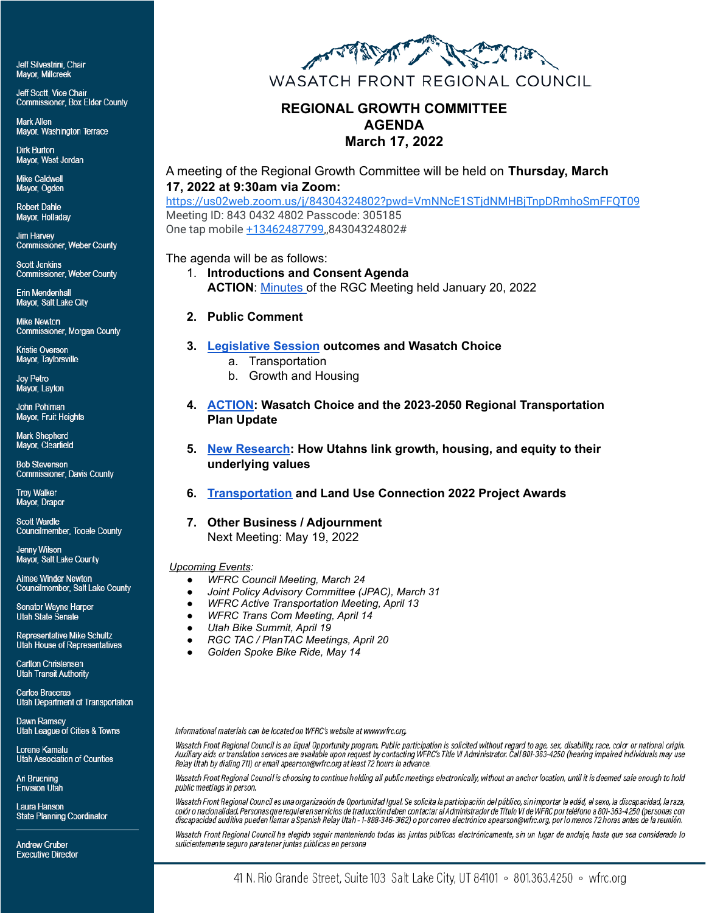Jeff Silvestrini, Chair **Mavor. Millcreek** 

Jeff Scott, Vice Chair Commissioner, Box Elder County

Mark Allen Mayor, Washington Terrace

**Dirk Burton** Mayor, West Jordan

Mike Caldwell Mayor, Ogden

**Robert Dahle** Mayor, Holladay

**Jim Harvey Commissioner, Weber County** 

**Scott Jenkins Commissioner, Weber County** 

Erin Mendenhall Mayor, Salt Lake City

**Mike Newton** Commissioner, Morgan County

Kristie Overson Mayor, Taylorsville

Joy Petro Mayor, Layton

John Pohlman Mayor, Fruit Heights

Mark Shepherd Mayor, Clearfield

**Bob Stevenson** Commissioner, Davis County

**Troy Walker** Mayor, Draper

**Scott Wardle Councilmember, Tooele County** 

Jenny Wilson Mayor, Salt Lake County

Aimee Winder Newton Councilmember, Salt Lake County

**Senator Wayne Harper Utah State Senate** 

Representative Mike Schultz Utah House of Representatives

Carlton Christensen **Utah Transit Authority** 

**Carlos Braceras Utah Department of Transportation** 

Dawn Ramsey Utah League of Cities & Towns

Lorene Kamalu **Utah Association of Counties** 

Ari Bruening **Envision Utah** 

Laura Hanson **State Planning Coordinator** 

**Andrew Gruber Fxecutive Director** 



### **REGIONAL GROWTH COMMITTEE AGENDA March 17, 2022**

A meeting of the Regional Growth Committee will be held on **Thursday, March 17, 2022 at 9:30am via Zoom:**

<https://us02web.zoom.us/j/84304324802?pwd=VmNNcE1STjdNMHBjTnpDRmhoSmFFQT09> Meeting ID: 843 0432 4802 Passcode: 305185 One tap mobile [+13462487799](tel:+13462487799),,84304324802#

The agenda will be as follows:

1. **Introductions and Consent Agenda ACTION**: [Minutes](https://wfrc.org/Committees/RegionalGrowth/2022/02_Mar17/RGC_2022Jan20_MinutesDRAFT.pdf) of the RGC Meeting held January 20, 2022

#### **2. Public Comment**

- **3. [Legislative Session](https://wfrc.org/Committees/RegionalGrowth/2022/02_Mar17/Item3_LegisSessOutcomesWasatchChoice.pdf) outcomes and Wasatch Choice**
	- a. Transportation
	- b. Growth and Housing
- **4. [ACTION](https://wfrc.org/Committees/RegionalGrowth/2022/02_Mar17/Item4_MemoAndCriteria.pdf): Wasatch Choice and the 2023-2050 Regional Transportation Plan Update**
- **5. [New Research:](https://wfrc.org/Committees/RegionalGrowth/2022/02_Mar17/Item5_NewResearch_values.pdf) How Utahns link growth, housing, and equity to their underlying values**
- **6. [Transportation](https://wfrc.org/Committees/RegionalGrowth/2022/02_Mar17/Item6_TLC2022Recipients.pdf) and Land Use Connection 2022 Project Awards**

#### **7. Other Business / Adjournment**

Next Meeting: May 19, 2022

#### *Upcoming Events:*

- *● WFRC Council Meeting, March 24*
- *● Joint Policy Advisory Committee (JPAC), March 31*
- *● WFRC Active Transportation Meeting, April 13*
- *● WFRC Trans Com Meeting, April 14*
- *● Utah Bike Summit, April 19*
- *● RGC TAC / PlanTAC Meetings, April 20*
- *● Golden Spoke Bike Ride, May 14*

Informational materials can be located on WFRC's website at www.wfrc.org.

Wasatch Front Regional Council is an Equal Opportunity program. Public participation is solicited without regard to age, sex, disability, race, color or national origin.<br>Auxiliary aids or translation services are available Relay Utah by dialing 711) or email apearson@wfrc.org at least 72 hours in advance.

Wasatch Front Regional Council is choosing to continue holding all public meetings electronically, without an anchor location, until it is deemed safe enough to hold public meetings in person.

Wasatch Front Regional Council es una organización de Oportunidad Igual. Se solicita la participación del público, sin importar la edád, el sexo, la discapacidad, la raza, colór o nacionalidad. Personas que requieren servicios de traducción deben contactar al Administrador de Título VI de WFRC por teléfono a 801-363-4250 (personas con discapacidad auditiva pueden llamar a Spanish Relay Utah - 1-888-346-3162) o por correo electrónico apearson@wfrc.org, por lo menos 72 horas antes de la reunión.

Wasatch Front Regional Council ha elegido seguir manteniendo todas las juntas públicas electrónicamente, sin un lugar de anclaje, hasta que sea considerado lo suficientemente seguro para tener juntas públicas en persona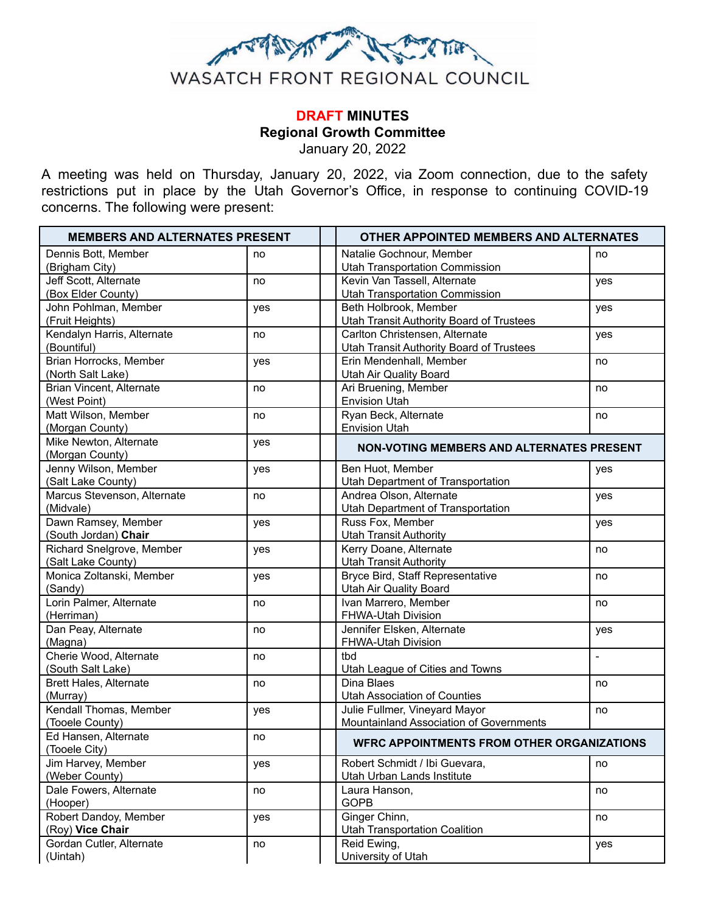

## **DRAFT MINUTES Regional Growth Committee**

January 20, 2022

A meeting was held on Thursday, January 20, 2022, via Zoom connection, due to the safety restrictions put in place by the Utah Governor's Office, in response to continuing COVID-19 concerns. The following were present:

| <b>MEMBERS AND ALTERNATES PRESENT</b>     |     | <b>OTHER APPOINTED MEMBERS AND ALTERNATES</b>     |                |
|-------------------------------------------|-----|---------------------------------------------------|----------------|
| Dennis Bott, Member                       | no  | Natalie Gochnour, Member                          | no             |
| (Brigham City)                            |     | <b>Utah Transportation Commission</b>             |                |
| Jeff Scott, Alternate                     | no  | Kevin Van Tassell, Alternate                      | yes            |
| (Box Elder County)                        |     | <b>Utah Transportation Commission</b>             |                |
| John Pohlman, Member                      | yes | Beth Holbrook, Member                             | yes            |
| (Fruit Heights)                           |     | <b>Utah Transit Authority Board of Trustees</b>   |                |
| Kendalyn Harris, Alternate                | no  | Carlton Christensen, Alternate                    | yes            |
| (Bountiful)                               |     | <b>Utah Transit Authority Board of Trustees</b>   |                |
| Brian Horrocks, Member                    | yes | Erin Mendenhall, Member                           | no             |
| (North Salt Lake)                         |     | Utah Air Quality Board                            |                |
| Brian Vincent, Alternate                  | no  | Ari Bruening, Member                              | no             |
| (West Point)                              |     | <b>Envision Utah</b>                              |                |
| Matt Wilson, Member                       | no  | Ryan Beck, Alternate                              | no             |
| (Morgan County)                           |     | <b>Envision Utah</b>                              |                |
| Mike Newton, Alternate<br>(Morgan County) | yes | NON-VOTING MEMBERS AND ALTERNATES PRESENT         |                |
| Jenny Wilson, Member                      | yes | Ben Huot, Member                                  | yes            |
| (Salt Lake County)                        |     | Utah Department of Transportation                 |                |
| Marcus Stevenson, Alternate               | no  | Andrea Olson, Alternate                           | yes            |
| (Midvale)                                 |     | <b>Utah Department of Transportation</b>          |                |
| Dawn Ramsey, Member                       | yes | Russ Fox, Member                                  | yes            |
| (South Jordan) Chair                      |     | <b>Utah Transit Authority</b>                     |                |
| Richard Snelgrove, Member                 | yes | Kerry Doane, Alternate                            | no             |
| (Salt Lake County)                        |     | <b>Utah Transit Authority</b>                     |                |
| Monica Zoltanski, Member                  | yes | Bryce Bird, Staff Representative                  | no             |
| (Sandy)                                   |     | Utah Air Quality Board                            |                |
| Lorin Palmer, Alternate                   | no  | Ivan Marrero, Member                              | no             |
| (Herriman)                                |     | FHWA-Utah Division                                |                |
| Dan Peay, Alternate                       | no  | Jennifer Elsken, Alternate                        | yes            |
| (Magna)                                   |     | FHWA-Utah Division                                |                |
| Cherie Wood, Alternate                    | no  | tbd                                               | $\blacksquare$ |
| (South Salt Lake)                         |     | Utah League of Cities and Towns                   |                |
| <b>Brett Hales, Alternate</b>             | no  | Dina Blaes                                        | no             |
| (Murray)                                  |     | <b>Utah Association of Counties</b>               |                |
| Kendall Thomas, Member                    | yes | Julie Fullmer, Vineyard Mayor                     | no             |
| (Tooele County)                           |     | Mountainland Association of Governments           |                |
| Ed Hansen, Alternate                      | no  |                                                   |                |
| (Tooele City)                             |     | <b>WFRC APPOINTMENTS FROM OTHER ORGANIZATIONS</b> |                |
| Jim Harvey, Member                        | yes | Robert Schmidt / Ibi Guevara,                     | no             |
| (Weber County)                            |     | Utah Urban Lands Institute                        |                |
| Dale Fowers, Alternate                    | no  | Laura Hanson,                                     | no             |
| (Hooper)                                  |     | <b>GOPB</b>                                       |                |
| Robert Dandoy, Member                     | yes | Ginger Chinn,                                     | no             |
| (Roy) Vice Chair                          |     | <b>Utah Transportation Coalition</b>              |                |
| Gordan Cutler, Alternate                  | no  | Reid Ewing,                                       | yes            |
| (Uintah)                                  |     | University of Utah                                |                |
|                                           |     |                                                   |                |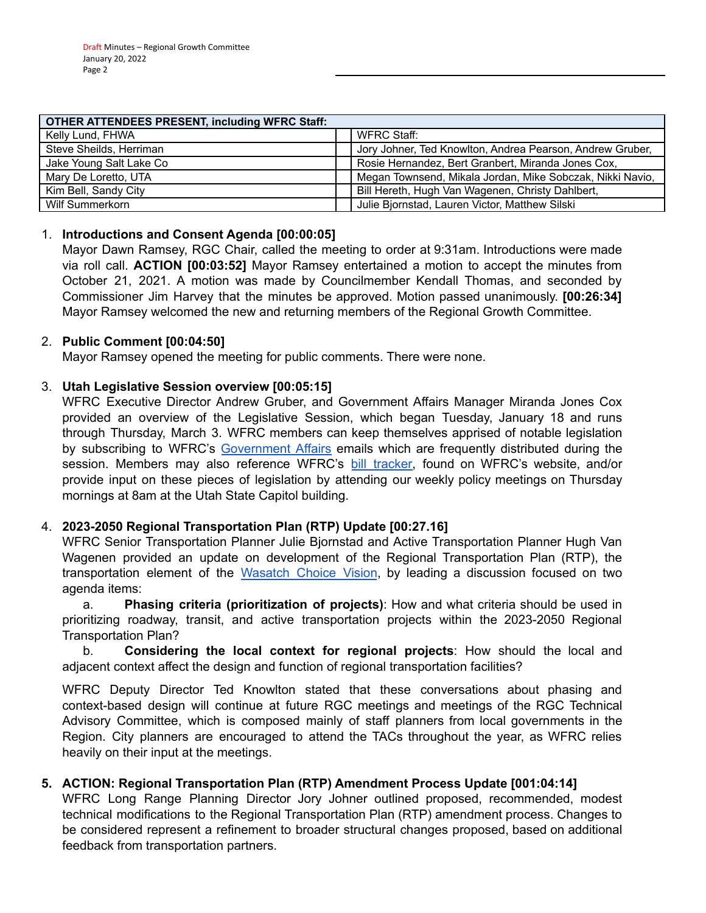| <b>OTHER ATTENDEES PRESENT, including WFRC Staff:</b> |                                                           |
|-------------------------------------------------------|-----------------------------------------------------------|
| Kelly Lund, FHWA                                      | WFRC Staff:                                               |
| Steve Sheilds, Herriman                               | Jory Johner, Ted Knowlton, Andrea Pearson, Andrew Gruber, |
| Jake Young Salt Lake Co                               | Rosie Hernandez, Bert Granbert, Miranda Jones Cox,        |
| Mary De Loretto, UTA                                  | Megan Townsend, Mikala Jordan, Mike Sobczak, Nikki Navio, |
| Kim Bell, Sandy City                                  | Bill Hereth, Hugh Van Wagenen, Christy Dahlbert,          |
| Wilf Summerkorn                                       | Julie Bjornstad, Lauren Victor, Matthew Silski            |

#### 1. **Introductions and Consent Agenda [00:00:05]**

Mayor Dawn Ramsey, RGC Chair, called the meeting to order at 9:31am. Introductions were made via roll call. **ACTION [00:03:52]** Mayor Ramsey entertained a motion to accept the minutes from October 21, 2021. A motion was made by Councilmember Kendall Thomas, and seconded by Commissioner Jim Harvey that the minutes be approved. Motion passed unanimously. **[00:26:34]** Mayor Ramsey welcomed the new and returning members of the Regional Growth Committee.

#### 2. **Public Comment [00:04:50]**

Mayor Ramsey opened the meeting for public comments. There were none.

#### 3. **Utah Legislative Session overview [00:05:15]**

WFRC Executive Director Andrew Gruber, and Government Affairs Manager Miranda Jones Cox provided an overview of the Legislative Session, which began Tuesday, January 18 and runs through Thursday, March 3. WFRC members can keep themselves apprised of notable legislation by subscribing to WFRC's [Government](https://wfrc.org/public-involvement/governmental-affairs-2/) Affairs emails which are frequently distributed during the session. Members may also reference WFRC's bill [tracker,](https://wfrc.org/billtracker/) found on WFRC's website, and/or provide input on these pieces of legislation by attending our weekly policy meetings on Thursday mornings at 8am at the Utah State Capitol building.

#### 4. **2023-2050 Regional Transportation Plan (RTP) Update [00:27.16]**

WFRC Senior Transportation Planner Julie Bjornstad and Active Transportation Planner Hugh Van Wagenen provided an update on development of the Regional Transportation Plan (RTP), the transportation element of the [Wasatch](https://wfrc.org/wasatch-choice-regional-vision-wcrv/) Choice Vision, by leading a discussion focused on two agenda items:

a. **Phasing criteria (prioritization of projects)**: How and what criteria should be used in prioritizing roadway, transit, and active transportation projects within the 2023-2050 Regional Transportation Plan?

b. **Considering the local context for regional projects**: How should the local and adjacent context affect the design and function of regional transportation facilities?

WFRC Deputy Director Ted Knowlton stated that these conversations about phasing and context-based design will continue at future RGC meetings and meetings of the RGC Technical Advisory Committee, which is composed mainly of staff planners from local governments in the Region. City planners are encouraged to attend the TACs throughout the year, as WFRC relies heavily on their input at the meetings.

#### **5. ACTION: Regional Transportation Plan (RTP) Amendment Process Update [001:04:14]**

WFRC Long Range Planning Director Jory Johner outlined proposed, recommended, modest technical modifications to the Regional Transportation Plan (RTP) amendment process. Changes to be considered represent a refinement to broader structural changes proposed, based on additional feedback from transportation partners.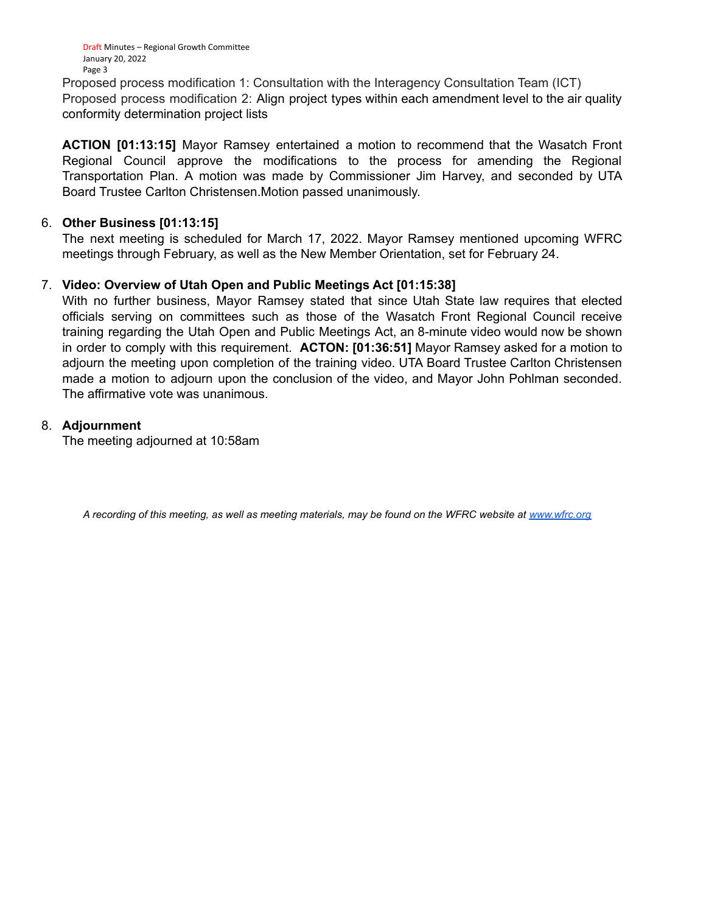Draft Minutes – Regional Growth Committee January 20, 2022 Page 3

Proposed process modification 1: Consultation with the Interagency Consultation Team (ICT) Proposed process modification 2: Align project types within each amendment level to the air quality conformity determination project lists

**ACTION [01:13:15]** Mayor Ramsey entertained a motion to recommend that the Wasatch Front Regional Council approve the modifications to the process for amending the Regional Transportation Plan. A motion was made by Commissioner Jim Harvey, and seconded by UTA Board Trustee Carlton Christensen.Motion passed unanimously.

#### 6. **Other Business [01:13:15]**

The next meeting is scheduled for March 17, 2022. Mayor Ramsey mentioned upcoming WFRC meetings through February, as well as the New Member Orientation, set for February 24.

#### 7. **Video: Overview of Utah Open and Public Meetings Act [01:15:38]**

With no further business, Mayor Ramsey stated that since Utah State law requires that elected officials serving on committees such as those of the Wasatch Front Regional Council receive training regarding the Utah Open and Public Meetings Act, an 8-minute video would now be shown in order to comply with this requirement. **ACTON: [01:36:51]** Mayor Ramsey asked for a motion to adjourn the meeting upon completion of the training video. UTA Board Trustee Carlton Christensen made a motion to adjourn upon the conclusion of the video, and Mayor John Pohlman seconded. The affirmative vote was unanimous.

#### 8. **Adjournment**

The meeting adjourned at 10:58am

*A recording of this meeting, as well as meeting materials, may be found on the WFRC website at [www.wfrc.org](http://www.wfrc.org/)*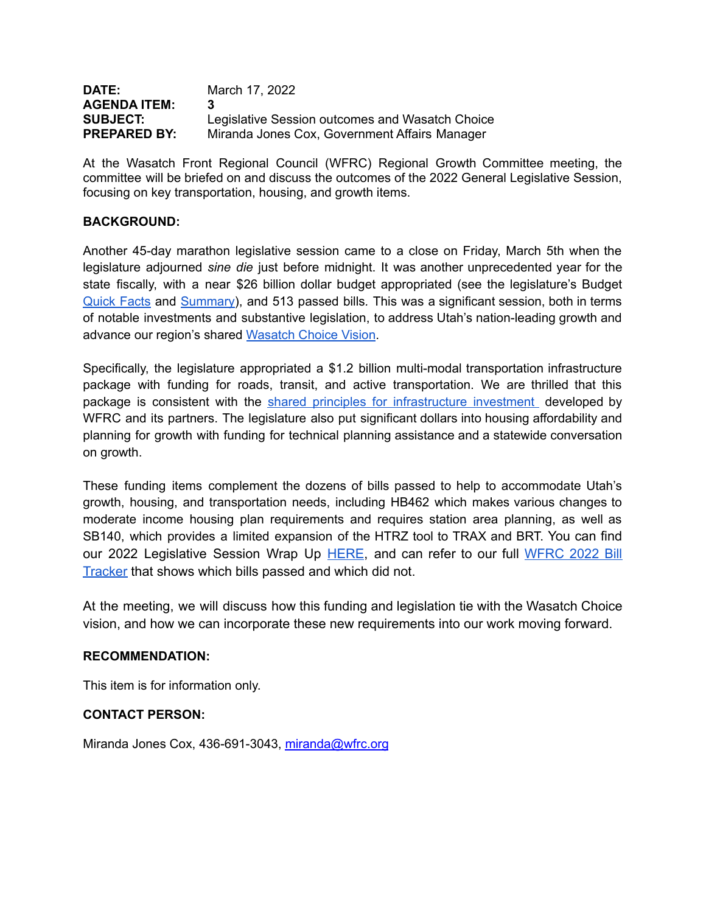| <b>DATE:</b>        | March 17, 2022                                  |
|---------------------|-------------------------------------------------|
| <b>AGENDA ITEM:</b> | 3                                               |
| <b>SUBJECT:</b>     | Legislative Session outcomes and Wasatch Choice |
| <b>PREPARED BY:</b> | Miranda Jones Cox, Government Affairs Manager   |

At the Wasatch Front Regional Council (WFRC) Regional Growth Committee meeting, the committee will be briefed on and discuss the outcomes of the 2022 General Legislative Session, focusing on key transportation, housing, and growth items.

#### **BACKGROUND:**

Another 45-day marathon legislative session came to a close on Friday, March 5th when the legislature adjourned *sine die* just before midnight. It was another unprecedented year for the state fiscally, with a near \$26 billion dollar budget appropriated (see the legislature's Budget [Quick](https://le.utah.gov/interim/2022/pdf/00002052.pdf) Facts and [Summary\)](https://le.utah.gov/interim/2022/pdf/00002063.pdf), and 513 passed bills*.* This was a significant session, both in terms of notable investments and substantive legislation, to address Utah's nation-leading growth and advance our region's shared [Wasatch](https://wfrc.org/wasatch-choice-regional-vision-wcrv/) Choice Vision.

Specifically, the legislature appropriated a \$1.2 billion multi-modal transportation infrastructure package with funding for roads, transit, and active transportation. We are thrilled that this package is consistent with the shared principles for [infrastructure](https://wfrc.org/PublicInvolvement/GovernmentalAffairs/JointLetterofSupportforInfrastructureInvestmentLegislature.pdf) investment developed by WFRC and its partners. The legislature also put significant dollars into housing affordability and planning for growth with funding for technical planning assistance and a statewide conversation on growth.

These funding items complement the dozens of bills passed to help to accommodate Utah's growth, housing, and transportation needs, including HB462 which makes various changes to moderate income housing plan requirements and requires station area planning, as well as SB140, which provides a limited expansion of the HTRZ tool to TRAX and BRT. You can find our 2022 Legislative Session Wrap Up [HERE,](https://docs.google.com/document/d/1rJo8ix8meYgI5qvey0LmYLdel834nDdlzde9DjAMbxQ/edit?usp=sharing) and can refer to our full [WFRC](https://wfrc.org/billtracker/) 2022 Bill [Tracker](https://wfrc.org/billtracker/) that shows which bills passed and which did not.

At the meeting, we will discuss how this funding and legislation tie with the Wasatch Choice vision, and how we can incorporate these new requirements into our work moving forward.

#### **RECOMMENDATION:**

This item is for information only.

#### **CONTACT PERSON:**

Miranda Jones Cox, 436-691-3043, [miranda@wfrc.org](mailto:miranda@wfrc.org)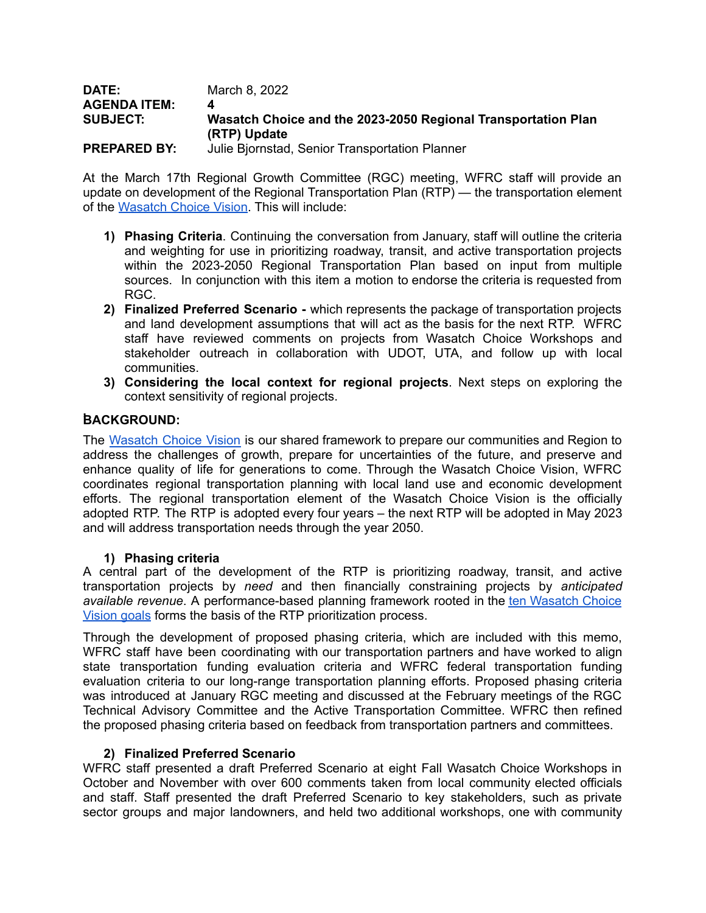| DATE:               | March 8, 2022                                                                 |
|---------------------|-------------------------------------------------------------------------------|
| <b>AGENDA ITEM:</b> | 4                                                                             |
| <b>SUBJECT:</b>     | Wasatch Choice and the 2023-2050 Regional Transportation Plan<br>(RTP) Update |
|                     |                                                                               |
| <b>PREPARED BY:</b> | Julie Bjornstad, Senior Transportation Planner                                |

At the March 17th Regional Growth Committee (RGC) meeting, WFRC staff will provide an update on development of the Regional Transportation Plan (RTP) — the transportation element of the [Wasatch](https://wfrc.org/wasatch-choice-regional-vision-wcrv/) Choice Vision. This will include:

- **1) Phasing Criteria**. Continuing the conversation from January, staff will outline the criteria and weighting for use in prioritizing roadway, transit, and active transportation projects within the 2023-2050 Regional Transportation Plan based on input from multiple sources. In conjunction with this item a motion to endorse the criteria is requested from RGC.
- **2) Finalized Preferred Scenario -** which represents the package of transportation projects and land development assumptions that will act as the basis for the next RTP. WFRC staff have reviewed comments on projects from Wasatch Choice Workshops and stakeholder outreach in collaboration with UDOT, UTA, and follow up with local communities.
- **3) Considering the local context for regional projects**. Next steps on exploring the context sensitivity of regional projects.

#### **,BACKGROUND:**

The [Wasatch](https://wfrc.org/wasatch-choice-regional-vision-wcrv/) Choice Vision is our shared framework to prepare our communities and Region to address the challenges of growth, prepare for uncertainties of the future, and preserve and enhance quality of life for generations to come. Through the Wasatch Choice Vision, WFRC coordinates regional transportation planning with local land use and economic development efforts. The regional transportation element of the Wasatch Choice Vision is the officially adopted RTP. The RTP is adopted every four years – the next RTP will be adopted in May 2023 and will address transportation needs through the year 2050.

#### **1) Phasing criteria**

A central part of the development of the RTP is prioritizing roadway, transit, and active transportation projects by *need* and then financially constraining projects by *anticipated available revenue*. A performance-based planning framework rooted in the ten [Wasatch](https://wfrc.org/vision-plans/regional-transportation-plan/2019-2050-regional-transportation-plan/establish-goals/) Choice [Vision](https://wfrc.org/vision-plans/regional-transportation-plan/2019-2050-regional-transportation-plan/establish-goals/) goals forms the basis of the RTP prioritization process.

Through the development of proposed phasing criteria, which are included with this memo, WFRC staff have been coordinating with our transportation partners and have worked to align state transportation funding evaluation criteria and WFRC federal transportation funding evaluation criteria to our long-range transportation planning efforts. Proposed phasing criteria was introduced at January RGC meeting and discussed at the February meetings of the RGC Technical Advisory Committee and the Active Transportation Committee. WFRC then refined the proposed phasing criteria based on feedback from transportation partners and committees.

#### **2) Finalized Preferred Scenario**

WFRC staff presented a draft Preferred Scenario at eight Fall Wasatch Choice Workshops in October and November with over 600 comments taken from local community elected officials and staff. Staff presented the draft Preferred Scenario to key stakeholders, such as private sector groups and major landowners, and held two additional workshops, one with community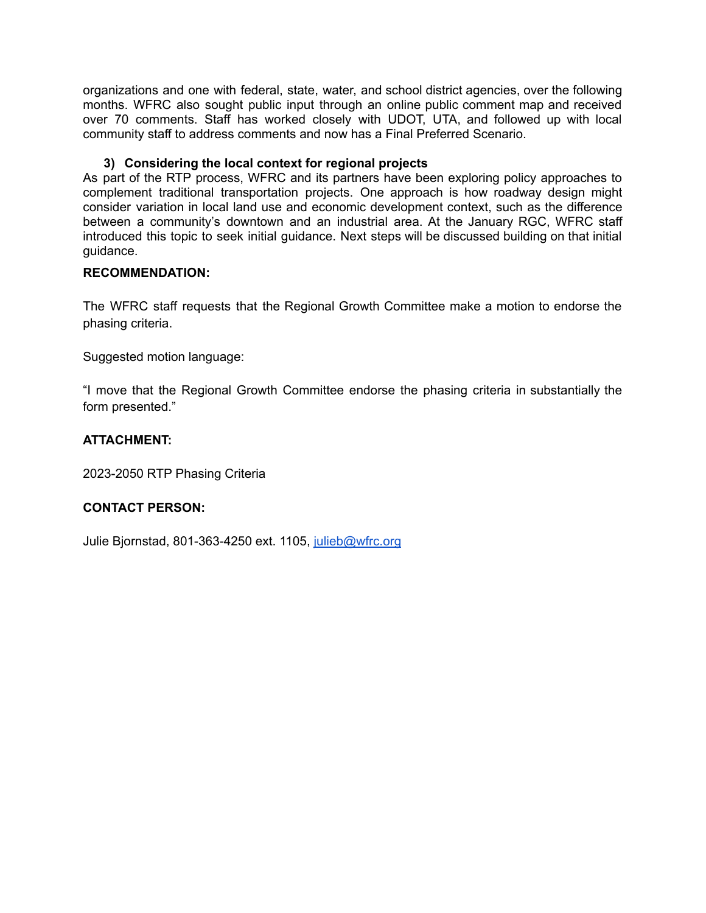organizations and one with federal, state, water, and school district agencies, over the following months. WFRC also sought public input through an online public comment map and received over 70 comments. Staff has worked closely with UDOT, UTA, and followed up with local community staff to address comments and now has a Final Preferred Scenario.

#### **3) Considering the local context for regional projects**

As part of the RTP process, WFRC and its partners have been exploring policy approaches to complement traditional transportation projects. One approach is how roadway design might consider variation in local land use and economic development context, such as the difference between a community's downtown and an industrial area. At the January RGC, WFRC staff introduced this topic to seek initial guidance. Next steps will be discussed building on that initial guidance.

#### **RECOMMENDATION:**

The WFRC staff requests that the Regional Growth Committee make a motion to endorse the phasing criteria.

Suggested motion language:

"I move that the Regional Growth Committee endorse the phasing criteria in substantially the form presented."

#### **ATTACHMENT:**

2023-2050 RTP Phasing Criteria

#### **CONTACT PERSON:**

Julie Bjornstad, 801-363-4250 ext. 1105, [julieb@wfrc.org](mailto:julieb@wfrc.org)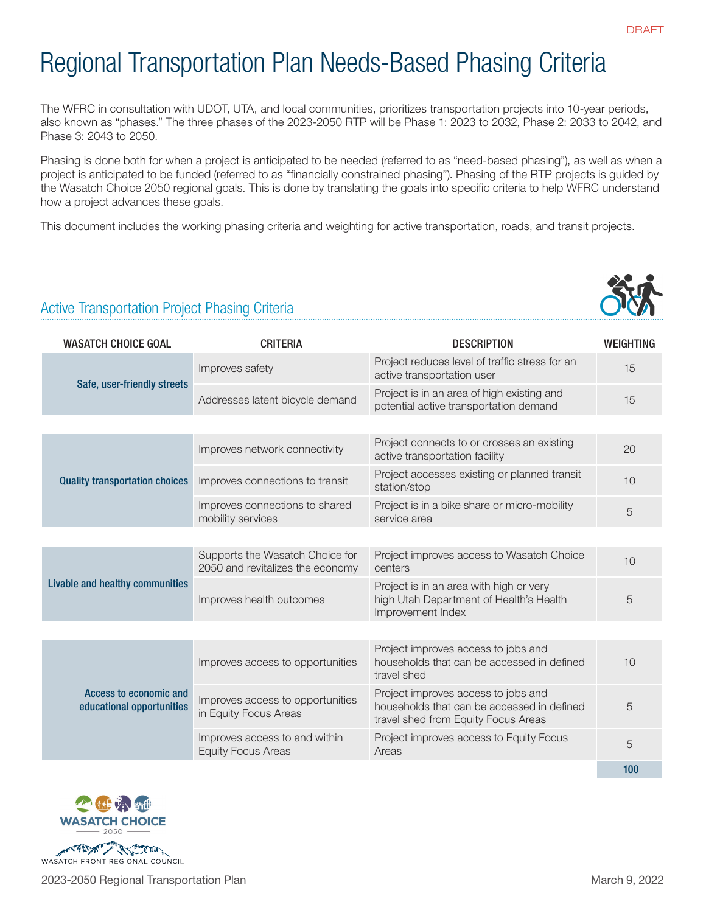# Regional Transportation Plan Needs-Based Phasing Criteria

The WFRC in consultation with UDOT, UTA, and local communities, prioritizes transportation projects into 10-year periods, also known as "phases." The three phases of the 2023-2050 RTP will be Phase 1: 2023 to 2032, Phase 2: 2033 to 2042, and Phase 3: 2043 to 2050.

Phasing is done both for when a project is anticipated to be needed (referred to as "need-based phasing"), as well as when a project is anticipated to be funded (referred to as "financially constrained phasing"). Phasing of the RTP projects is guided by the Wasatch Choice 2050 regional goals. This is done by translating the goals into specific criteria to help WFRC understand how a project advances these goals.

This document includes the working phasing criteria and weighting for active transportation, roads, and transit projects.



## Active Transportation Project Phasing Criteria

| <b>WASATCH CHOICE GOAL</b>                          | <b>CRITERIA</b>                                                     | <b>DESCRIPTION</b>                                                                                                       | <b>WEIGHTING</b> |
|-----------------------------------------------------|---------------------------------------------------------------------|--------------------------------------------------------------------------------------------------------------------------|------------------|
| Safe, user-friendly streets                         | Improves safety                                                     | Project reduces level of traffic stress for an<br>active transportation user                                             | 15               |
|                                                     | Addresses latent bicycle demand                                     | Project is in an area of high existing and<br>potential active transportation demand                                     | 15               |
|                                                     |                                                                     |                                                                                                                          |                  |
| <b>Quality transportation choices</b>               | Improves network connectivity                                       | Project connects to or crosses an existing<br>active transportation facility                                             | 20               |
|                                                     | Improves connections to transit                                     | Project accesses existing or planned transit<br>station/stop                                                             | 10               |
|                                                     | Improves connections to shared<br>mobility services                 | Project is in a bike share or micro-mobility<br>service area                                                             | 5                |
|                                                     |                                                                     |                                                                                                                          |                  |
| Livable and healthy communities                     | Supports the Wasatch Choice for<br>2050 and revitalizes the economy | Project improves access to Wasatch Choice<br>centers                                                                     | 10               |
|                                                     | Improves health outcomes                                            | Project is in an area with high or very<br>high Utah Department of Health's Health<br>Improvement Index                  | 5                |
|                                                     |                                                                     |                                                                                                                          |                  |
| Access to economic and<br>educational opportunities | Improves access to opportunities                                    | Project improves access to jobs and<br>households that can be accessed in defined<br>travel shed                         | 10               |
|                                                     | Improves access to opportunities<br>in Equity Focus Areas           | Project improves access to jobs and<br>households that can be accessed in defined<br>travel shed from Equity Focus Areas | 5                |
|                                                     | Improves access to and within<br><b>Equity Focus Areas</b>          | Project improves access to Equity Focus<br>Areas                                                                         | 5                |
|                                                     |                                                                     |                                                                                                                          | 100              |

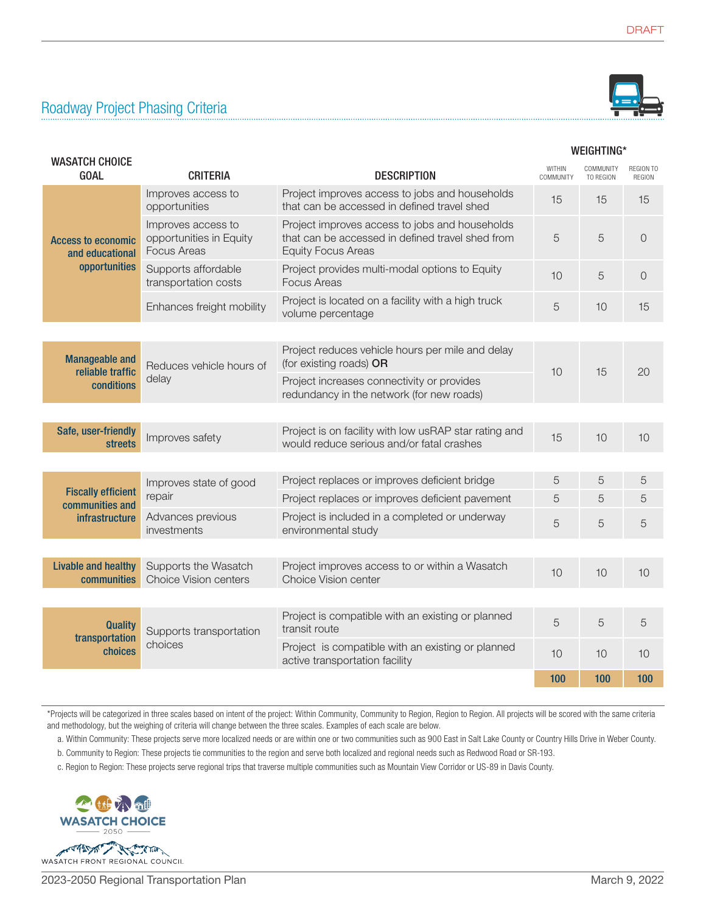## Roadway Project Phasing Criteria



#### WEIGHTING\*

| <b>WASATCH CHOICE</b><br><b>GOAL</b>                                             | <b>CRITERIA</b>                                                     | <b>DESCRIPTION</b>                                                                                                              | WITHIN<br>COMMUNITY | COMMUNITY<br>TO REGION | <b>REGION TO</b><br><b>REGION</b> |
|----------------------------------------------------------------------------------|---------------------------------------------------------------------|---------------------------------------------------------------------------------------------------------------------------------|---------------------|------------------------|-----------------------------------|
|                                                                                  | Improves access to<br>opportunities                                 | Project improves access to jobs and households<br>that can be accessed in defined travel shed                                   | 15                  | 15                     | 15                                |
| <b>Access to economic</b><br>and educational                                     | Improves access to<br>opportunities in Equity<br><b>Focus Areas</b> | Project improves access to jobs and households<br>that can be accessed in defined travel shed from<br><b>Equity Focus Areas</b> | 5                   | 5                      | $\overline{0}$                    |
| opportunities                                                                    | Supports affordable<br>transportation costs                         | Project provides multi-modal options to Equity<br><b>Focus Areas</b>                                                            | 10                  | 5                      | $\overline{0}$                    |
|                                                                                  | Enhances freight mobility                                           | Project is located on a facility with a high truck<br>volume percentage                                                         | 5                   | 10                     | 15                                |
|                                                                                  |                                                                     |                                                                                                                                 |                     |                        |                                   |
| <b>Manageable and</b><br>reliable traffic<br>delay<br>conditions                 | Reduces vehicle hours of                                            | Project reduces vehicle hours per mile and delay<br>(for existing roads) OR                                                     |                     |                        |                                   |
|                                                                                  |                                                                     | Project increases connectivity or provides<br>redundancy in the network (for new roads)                                         | 10                  | 15                     | 20                                |
|                                                                                  |                                                                     |                                                                                                                                 |                     |                        |                                   |
| Safe, user-friendly<br>streets                                                   | Improves safety                                                     | Project is on facility with low usRAP star rating and<br>would reduce serious and/or fatal crashes                              | 15                  | 10                     | 10                                |
|                                                                                  |                                                                     |                                                                                                                                 |                     |                        |                                   |
| Improves state of good<br><b>Fiscally efficient</b><br>repair<br>communities and |                                                                     | Project replaces or improves deficient bridge                                                                                   | 5                   | 5                      | 5                                 |
|                                                                                  |                                                                     | Project replaces or improves deficient pavement                                                                                 | 5                   | 5                      | 5                                 |
| <b>infrastructure</b>                                                            | Advances previous<br>investments                                    | Project is included in a completed or underway<br>environmental study                                                           | 5                   | 5                      | 5                                 |
|                                                                                  |                                                                     |                                                                                                                                 |                     |                        |                                   |
| <b>Livable and healthy</b><br>communities                                        | Supports the Wasatch<br><b>Choice Vision centers</b>                | Project improves access to or within a Wasatch<br>Choice Vision center                                                          | 10                  | 10                     | 10                                |
|                                                                                  |                                                                     |                                                                                                                                 |                     |                        |                                   |
| <b>Quality</b><br>transportation<br>choices                                      | Supports transportation                                             | Project is compatible with an existing or planned<br>transit route                                                              | 5                   | 5                      | 5                                 |
|                                                                                  | choices                                                             | Project is compatible with an existing or planned<br>active transportation facility                                             | 10                  | 10                     | 10                                |
|                                                                                  |                                                                     |                                                                                                                                 | 100                 | 100                    | 100                               |

\*Projects will be categorized in three scales based on intent of the project: Within Community, Community to Region, Region to Region. All projects will be scored with the same criteria and methodology, but the weighing of criteria will change between the three scales. Examples of each scale are below.

a. Within Community: These projects serve more localized needs or are within one or two communities such as 900 East in Salt Lake County or Country Hills Drive in Weber County.

b. Community to Region: These projects tie communities to the region and serve both localized and regional needs such as Redwood Road or SR-193.

c. Region to Region: These projects serve regional trips that traverse multiple communities such as Mountain View Corridor or US-89 in Davis County.

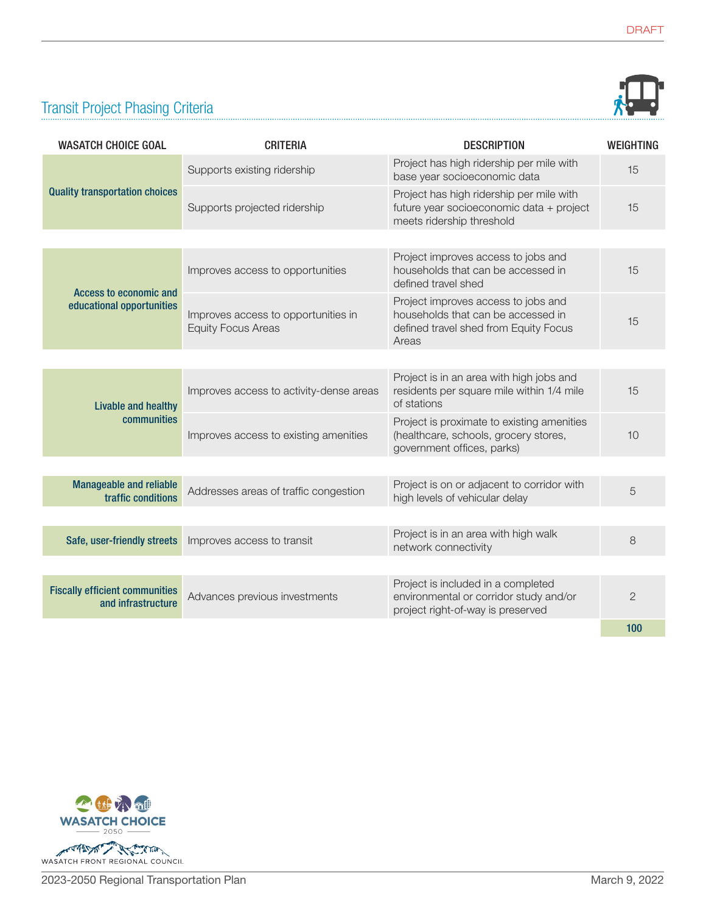

## Transit Project Phasing Criteria

| <b>WASATCH CHOICE GOAL</b>                                  | <b>CRITERIA</b>                                                  | <b>DESCRIPTION</b>                                                                                                          | <b>WEIGHTING</b> |
|-------------------------------------------------------------|------------------------------------------------------------------|-----------------------------------------------------------------------------------------------------------------------------|------------------|
| <b>Quality transportation choices</b>                       | Supports existing ridership                                      | Project has high ridership per mile with<br>base year socioeconomic data                                                    | 15               |
|                                                             | Supports projected ridership                                     | Project has high ridership per mile with<br>future year socioeconomic data + project<br>meets ridership threshold           | 15               |
|                                                             |                                                                  |                                                                                                                             |                  |
| Access to economic and<br>educational opportunities         | Improves access to opportunities                                 | Project improves access to jobs and<br>households that can be accessed in<br>defined travel shed                            | 15               |
|                                                             | Improves access to opportunities in<br><b>Equity Focus Areas</b> | Project improves access to jobs and<br>households that can be accessed in<br>defined travel shed from Equity Focus<br>Areas | 15               |
|                                                             |                                                                  |                                                                                                                             |                  |
| Livable and healthy<br>communities                          | Improves access to activity-dense areas                          | Project is in an area with high jobs and<br>residents per square mile within 1/4 mile<br>of stations                        | 15               |
|                                                             | Improves access to existing amenities                            | Project is proximate to existing amenities<br>(healthcare, schools, grocery stores,<br>government offices, parks)           | 10               |
|                                                             |                                                                  |                                                                                                                             |                  |
| <b>Manageable and reliable</b><br>traffic conditions        | Addresses areas of traffic congestion                            | Project is on or adjacent to corridor with<br>high levels of vehicular delay                                                | 5                |
|                                                             |                                                                  |                                                                                                                             |                  |
| Safe, user-friendly streets                                 | Improves access to transit                                       | Project is in an area with high walk<br>network connectivity                                                                | 8                |
|                                                             |                                                                  |                                                                                                                             |                  |
| <b>Fiscally efficient communities</b><br>and infrastructure | Advances previous investments                                    | Project is included in a completed<br>environmental or corridor study and/or<br>project right-of-way is preserved           | $\overline{2}$   |
|                                                             |                                                                  |                                                                                                                             | 100              |

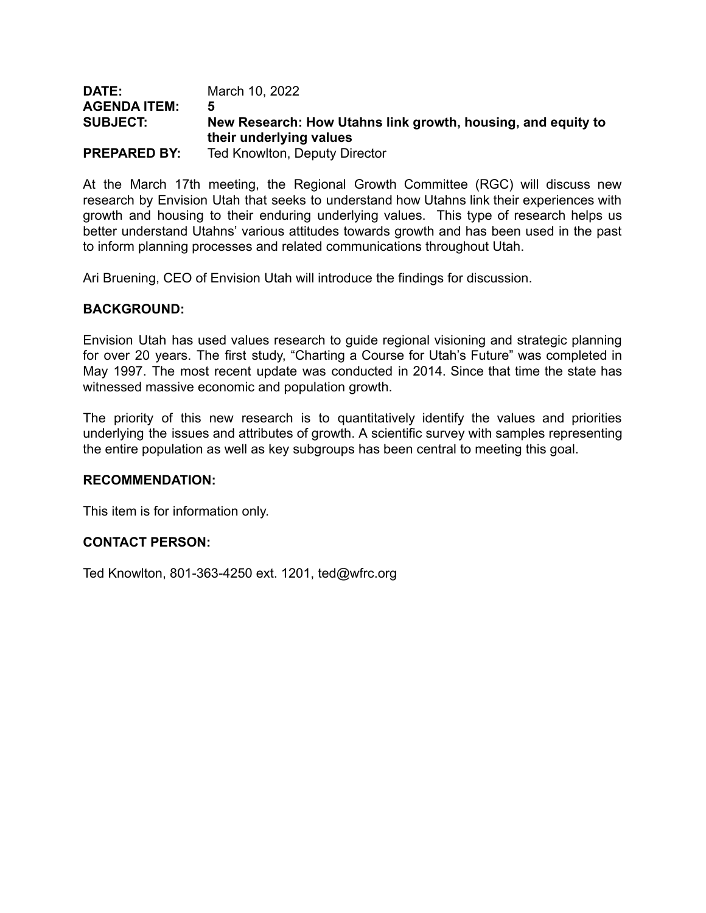| <b>DATE:</b>        | March 10, 2022                                               |
|---------------------|--------------------------------------------------------------|
| <b>AGENDA ITEM:</b> | 5                                                            |
| <b>SUBJECT:</b>     | New Research: How Utahns link growth, housing, and equity to |
|                     | their underlying values                                      |
| <b>PREPARED BY:</b> | Ted Knowlton, Deputy Director                                |

At the March 17th meeting, the Regional Growth Committee (RGC) will discuss new research by Envision Utah that seeks to understand how Utahns link their experiences with growth and housing to their enduring underlying values. This type of research helps us better understand Utahns' various attitudes towards growth and has been used in the past to inform planning processes and related communications throughout Utah.

Ari Bruening, CEO of Envision Utah will introduce the findings for discussion.

#### **BACKGROUND:**

Envision Utah has used values research to guide regional visioning and strategic planning for over 20 years. The first study, "Charting a Course for Utah's Future" was completed in May 1997. The most recent update was conducted in 2014. Since that time the state has witnessed massive economic and population growth.

The priority of this new research is to quantitatively identify the values and priorities underlying the issues and attributes of growth. A scientific survey with samples representing the entire population as well as key subgroups has been central to meeting this goal.

#### **RECOMMENDATION:**

This item is for information only.

#### **CONTACT PERSON:**

Ted Knowlton, 801-363-4250 ext. 1201, ted@wfrc.org